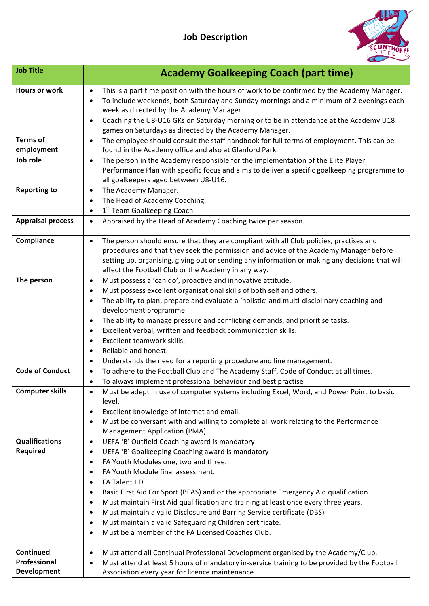

| <b>Job Title</b>                         | <b>Academy Goalkeeping Coach (part time)</b>                                                                                                                                                                                                                                                                                                                                                                                                                                                                                                                                                                                                          |
|------------------------------------------|-------------------------------------------------------------------------------------------------------------------------------------------------------------------------------------------------------------------------------------------------------------------------------------------------------------------------------------------------------------------------------------------------------------------------------------------------------------------------------------------------------------------------------------------------------------------------------------------------------------------------------------------------------|
| <b>Hours or work</b>                     | This is a part time position with the hours of work to be confirmed by the Academy Manager.<br>$\bullet$<br>To include weekends, both Saturday and Sunday mornings and a minimum of 2 evenings each<br>$\bullet$<br>week as directed by the Academy Manager.                                                                                                                                                                                                                                                                                                                                                                                          |
|                                          | Coaching the U8-U16 GKs on Saturday morning or to be in attendance at the Academy U18<br>$\bullet$<br>games on Saturdays as directed by the Academy Manager.                                                                                                                                                                                                                                                                                                                                                                                                                                                                                          |
| <b>Terms of</b><br>employment            | The employee should consult the staff handbook for full terms of employment. This can be<br>$\bullet$<br>found in the Academy office and also at Glanford Park.                                                                                                                                                                                                                                                                                                                                                                                                                                                                                       |
| Job role                                 | The person in the Academy responsible for the implementation of the Elite Player<br>$\bullet$<br>Performance Plan with specific focus and aims to deliver a specific goalkeeping programme to<br>all goalkeepers aged between U8-U16.                                                                                                                                                                                                                                                                                                                                                                                                                 |
| <b>Reporting to</b>                      | The Academy Manager.<br>$\bullet$<br>The Head of Academy Coaching.<br>1st Team Goalkeeping Coach<br>$\bullet$                                                                                                                                                                                                                                                                                                                                                                                                                                                                                                                                         |
| <b>Appraisal process</b>                 | Appraised by the Head of Academy Coaching twice per season.<br>$\bullet$                                                                                                                                                                                                                                                                                                                                                                                                                                                                                                                                                                              |
| Compliance                               | The person should ensure that they are compliant with all Club policies, practises and<br>$\bullet$<br>procedures and that they seek the permission and advice of the Academy Manager before<br>setting up, organising, giving out or sending any information or making any decisions that will<br>affect the Football Club or the Academy in any way.                                                                                                                                                                                                                                                                                                |
| The person                               | Must possess a 'can do', proactive and innovative attitude.<br>$\bullet$<br>Must possess excellent organisational skills of both self and others.<br>The ability to plan, prepare and evaluate a 'holistic' and multi-disciplinary coaching and<br>development programme.<br>The ability to manage pressure and conflicting demands, and prioritise tasks.<br>Excellent verbal, written and feedback communication skills.<br>Excellent teamwork skills.<br>$\bullet$<br>Reliable and honest.<br>Understands the need for a reporting procedure and line management.<br>٠                                                                             |
| <b>Code of Conduct</b>                   | To adhere to the Football Club and The Academy Staff, Code of Conduct at all times.<br>$\bullet$<br>To always implement professional behaviour and best practise<br>٠                                                                                                                                                                                                                                                                                                                                                                                                                                                                                 |
| <b>Computer skills</b>                   | Must be adept in use of computer systems including Excel, Word, and Power Point to basic<br>level.<br>Excellent knowledge of internet and email.<br>$\bullet$<br>Must be conversant with and willing to complete all work relating to the Performance<br>٠<br>Management Application (PMA).                                                                                                                                                                                                                                                                                                                                                           |
| <b>Qualifications</b><br><b>Required</b> | UEFA 'B' Outfield Coaching award is mandatory<br>$\bullet$<br>UEFA 'B' Goalkeeping Coaching award is mandatory<br>٠<br>FA Youth Modules one, two and three.<br>$\bullet$<br>FA Youth Module final assessment.<br>FA Talent I.D.<br>Basic First Aid For Sport (BFAS) and or the appropriate Emergency Aid qualification.<br>$\bullet$<br>Must maintain First Aid qualification and training at least once every three years.<br>Must maintain a valid Disclosure and Barring Service certificate (DBS)<br>٠<br>Must maintain a valid Safeguarding Children certificate.<br>$\bullet$<br>Must be a member of the FA Licensed Coaches Club.<br>$\bullet$ |
| Continued<br>Professional                | Must attend all Continual Professional Development organised by the Academy/Club.<br>$\bullet$                                                                                                                                                                                                                                                                                                                                                                                                                                                                                                                                                        |
| Development                              | Must attend at least 5 hours of mandatory in-service training to be provided by the Football<br>$\bullet$<br>Association every year for licence maintenance.                                                                                                                                                                                                                                                                                                                                                                                                                                                                                          |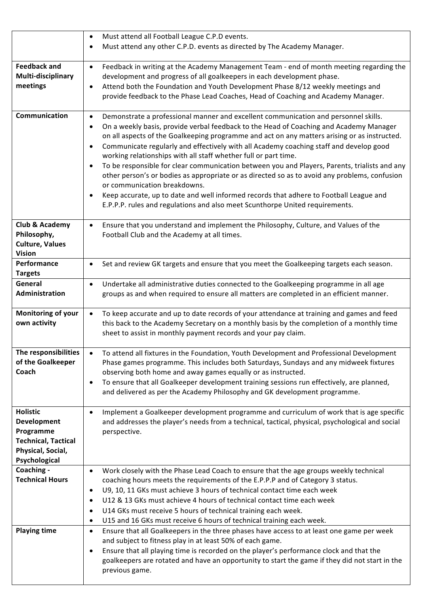|                                    | Must attend all Football League C.P.D events.<br>$\bullet$                                                                                                          |
|------------------------------------|---------------------------------------------------------------------------------------------------------------------------------------------------------------------|
|                                    | Must attend any other C.P.D. events as directed by The Academy Manager.                                                                                             |
|                                    |                                                                                                                                                                     |
| <b>Feedback and</b>                | Feedback in writing at the Academy Management Team - end of month meeting regarding the<br>$\bullet$                                                                |
| Multi-disciplinary                 | development and progress of all goalkeepers in each development phase.                                                                                              |
| meetings                           | Attend both the Foundation and Youth Development Phase 8/12 weekly meetings and<br>$\bullet$                                                                        |
|                                    | provide feedback to the Phase Lead Coaches, Head of Coaching and Academy Manager.                                                                                   |
| Communication                      | Demonstrate a professional manner and excellent communication and personnel skills.<br>$\bullet$                                                                    |
|                                    | On a weekly basis, provide verbal feedback to the Head of Coaching and Academy Manager<br>$\bullet$                                                                 |
|                                    | on all aspects of the Goalkeeping programme and act on any matters arising or as instructed.                                                                        |
|                                    | Communicate regularly and effectively with all Academy coaching staff and develop good<br>$\bullet$                                                                 |
|                                    | working relationships with all staff whether full or part time.                                                                                                     |
|                                    | To be responsible for clear communication between you and Players, Parents, trialists and any<br>$\bullet$                                                          |
|                                    | other person's or bodies as appropriate or as directed so as to avoid any problems, confusion<br>or communication breakdowns.                                       |
|                                    | Keep accurate, up to date and well informed records that adhere to Football League and<br>$\bullet$                                                                 |
|                                    | E.P.P.P. rules and regulations and also meet Scunthorpe United requirements.                                                                                        |
|                                    |                                                                                                                                                                     |
| Club & Academy                     | Ensure that you understand and implement the Philosophy, Culture, and Values of the<br>$\bullet$                                                                    |
| Philosophy,                        | Football Club and the Academy at all times.                                                                                                                         |
| <b>Culture, Values</b>             |                                                                                                                                                                     |
| <b>Vision</b><br>Performance       | Set and review GK targets and ensure that you meet the Goalkeeping targets each season.<br>$\bullet$                                                                |
| <b>Targets</b>                     |                                                                                                                                                                     |
| General                            | Undertake all administrative duties connected to the Goalkeeping programme in all age<br>$\bullet$                                                                  |
| Administration                     | groups as and when required to ensure all matters are completed in an efficient manner.                                                                             |
|                                    |                                                                                                                                                                     |
| Monitoring of your                 | To keep accurate and up to date records of your attendance at training and games and feed<br>$\bullet$                                                              |
| own activity                       | this back to the Academy Secretary on a monthly basis by the completion of a monthly time<br>sheet to assist in monthly payment records and your pay claim.         |
|                                    |                                                                                                                                                                     |
| The responsibilities               | To attend all fixtures in the Foundation, Youth Development and Professional Development                                                                            |
| of the Goalkeeper                  | Phase games programme. This includes both Saturdays, Sundays and any midweek fixtures                                                                               |
| Coach                              | observing both home and away games equally or as instructed.                                                                                                        |
|                                    | To ensure that all Goalkeeper development training sessions run effectively, are planned,<br>$\bullet$                                                              |
|                                    | and delivered as per the Academy Philosophy and GK development programme.                                                                                           |
| <b>Holistic</b>                    | Implement a Goalkeeper development programme and curriculum of work that is age specific<br>$\bullet$                                                               |
| Development                        | and addresses the player's needs from a technical, tactical, physical, psychological and social                                                                     |
| Programme                          | perspective.                                                                                                                                                        |
| <b>Technical, Tactical</b>         |                                                                                                                                                                     |
| Physical, Social,<br>Psychological |                                                                                                                                                                     |
| Coaching -                         | Work closely with the Phase Lead Coach to ensure that the age groups weekly technical<br>$\bullet$                                                                  |
| <b>Technical Hours</b>             | coaching hours meets the requirements of the E.P.P.P and of Category 3 status.                                                                                      |
|                                    | U9, 10, 11 GKs must achieve 3 hours of technical contact time each week<br>$\bullet$                                                                                |
|                                    | U12 & 13 GKs must achieve 4 hours of technical contact time each week<br>$\bullet$                                                                                  |
|                                    | U14 GKs must receive 5 hours of technical training each week.<br>$\bullet$                                                                                          |
|                                    | U15 and 16 GKs must receive 6 hours of technical training each week.<br>$\bullet$                                                                                   |
| <b>Playing time</b>                | Ensure that all Goalkeepers in the three phases have access to at least one game per week<br>$\bullet$<br>and subject to fitness play in at least 50% of each game. |
|                                    | Ensure that all playing time is recorded on the player's performance clock and that the<br>$\bullet$                                                                |
|                                    | goalkeepers are rotated and have an opportunity to start the game if they did not start in the                                                                      |
|                                    | previous game.                                                                                                                                                      |
|                                    |                                                                                                                                                                     |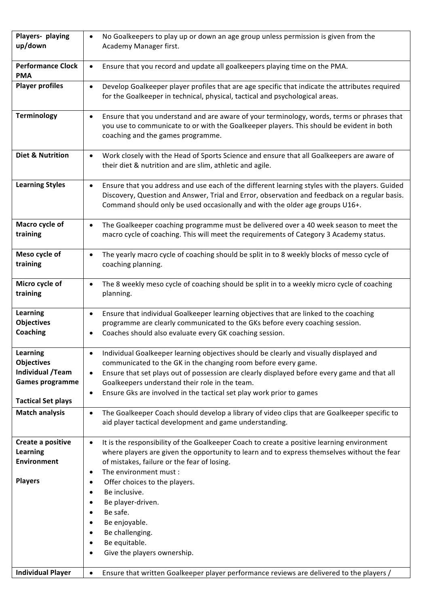| Players- playing<br>up/down                             | No Goalkeepers to play up or down an age group unless permission is given from the<br>Academy Manager first.                                                                                                                                                                                 |
|---------------------------------------------------------|----------------------------------------------------------------------------------------------------------------------------------------------------------------------------------------------------------------------------------------------------------------------------------------------|
| <b>Performance Clock</b><br><b>PMA</b>                  | Ensure that you record and update all goalkeepers playing time on the PMA.<br>$\bullet$                                                                                                                                                                                                      |
| <b>Player profiles</b>                                  | Develop Goalkeeper player profiles that are age specific that indicate the attributes required<br>$\bullet$<br>for the Goalkeeper in technical, physical, tactical and psychological areas.                                                                                                  |
| <b>Terminology</b>                                      | Ensure that you understand and are aware of your terminology, words, terms or phrases that<br>$\bullet$<br>you use to communicate to or with the Goalkeeper players. This should be evident in both<br>coaching and the games programme.                                                     |
| <b>Diet &amp; Nutrition</b>                             | Work closely with the Head of Sports Science and ensure that all Goalkeepers are aware of<br>$\bullet$<br>their diet & nutrition and are slim, athletic and agile.                                                                                                                           |
| <b>Learning Styles</b>                                  | Ensure that you address and use each of the different learning styles with the players. Guided<br>$\bullet$<br>Discovery, Question and Answer, Trial and Error, observation and feedback on a regular basis.<br>Command should only be used occasionally and with the older age groups U16+. |
| Macro cycle of<br>training                              | The Goalkeeper coaching programme must be delivered over a 40 week season to meet the<br>$\bullet$<br>macro cycle of coaching. This will meet the requirements of Category 3 Academy status.                                                                                                 |
| Meso cycle of<br>training                               | The yearly macro cycle of coaching should be split in to 8 weekly blocks of messo cycle of<br>$\bullet$<br>coaching planning.                                                                                                                                                                |
| Micro cycle of<br>training                              | The 8 weekly meso cycle of coaching should be split in to a weekly micro cycle of coaching<br>$\bullet$<br>planning.                                                                                                                                                                         |
| <b>Learning</b><br><b>Objectives</b><br><b>Coaching</b> | Ensure that individual Goalkeeper learning objectives that are linked to the coaching<br>$\bullet$<br>programme are clearly communicated to the GKs before every coaching session.<br>Coaches should also evaluate every GK coaching session.<br>$\bullet$                                   |
|                                                         |                                                                                                                                                                                                                                                                                              |
| Learning<br><b>Objectives</b>                           | Individual Goalkeeper learning objectives should be clearly and visually displayed and                                                                                                                                                                                                       |
| <b>Individual /Team</b>                                 | communicated to the GK in the changing room before every game.<br>Ensure that set plays out of possession are clearly displayed before every game and that all<br>$\bullet$                                                                                                                  |
| <b>Games programme</b>                                  | Goalkeepers understand their role in the team.                                                                                                                                                                                                                                               |
|                                                         | Ensure Gks are involved in the tactical set play work prior to games<br>$\bullet$                                                                                                                                                                                                            |
| <b>Tactical Set plays</b>                               |                                                                                                                                                                                                                                                                                              |
| <b>Match analysis</b>                                   | The Goalkeeper Coach should develop a library of video clips that are Goalkeeper specific to<br>$\bullet$<br>aid player tactical development and game understanding.                                                                                                                         |
| Create a positive                                       | It is the responsibility of the Goalkeeper Coach to create a positive learning environment<br>$\bullet$                                                                                                                                                                                      |
| Learning                                                | where players are given the opportunity to learn and to express themselves without the fear                                                                                                                                                                                                  |
| <b>Environment</b>                                      | of mistakes, failure or the fear of losing.<br>The environment must :<br>$\bullet$                                                                                                                                                                                                           |
| <b>Players</b>                                          | Offer choices to the players.                                                                                                                                                                                                                                                                |
|                                                         | Be inclusive.                                                                                                                                                                                                                                                                                |
|                                                         | Be player-driven.                                                                                                                                                                                                                                                                            |
|                                                         | Be safe.                                                                                                                                                                                                                                                                                     |
|                                                         | Be enjoyable.                                                                                                                                                                                                                                                                                |
|                                                         | Be challenging.                                                                                                                                                                                                                                                                              |
|                                                         | Be equitable.<br>Give the players ownership.                                                                                                                                                                                                                                                 |
|                                                         |                                                                                                                                                                                                                                                                                              |
| <b>Individual Player</b>                                | Ensure that written Goalkeeper player performance reviews are delivered to the players /                                                                                                                                                                                                     |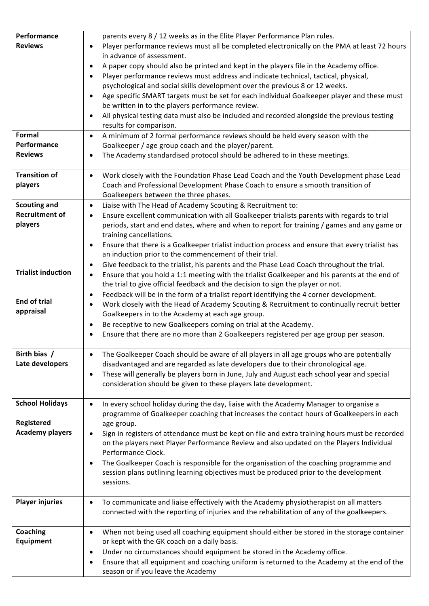| Performance               | parents every 8 / 12 weeks as in the Elite Player Performance Plan rules.                                                                                                                          |
|---------------------------|----------------------------------------------------------------------------------------------------------------------------------------------------------------------------------------------------|
| <b>Reviews</b>            | Player performance reviews must all be completed electronically on the PMA at least 72 hours                                                                                                       |
|                           | in advance of assessment.                                                                                                                                                                          |
|                           | A paper copy should also be printed and kept in the players file in the Academy office.                                                                                                            |
|                           | Player performance reviews must address and indicate technical, tactical, physical,                                                                                                                |
|                           | psychological and social skills development over the previous 8 or 12 weeks.                                                                                                                       |
|                           | Age specific SMART targets must be set for each individual Goalkeeper player and these must                                                                                                        |
|                           | be written in to the players performance review.                                                                                                                                                   |
|                           | All physical testing data must also be included and recorded alongside the previous testing<br>results for comparison.                                                                             |
| Formal                    | A minimum of 2 formal performance reviews should be held every season with the<br>$\bullet$                                                                                                        |
| Performance               | Goalkeeper / age group coach and the player/parent.                                                                                                                                                |
| <b>Reviews</b>            | The Academy standardised protocol should be adhered to in these meetings.                                                                                                                          |
| <b>Transition of</b>      | Work closely with the Foundation Phase Lead Coach and the Youth Development phase Lead<br>$\bullet$                                                                                                |
| players                   | Coach and Professional Development Phase Coach to ensure a smooth transition of                                                                                                                    |
|                           | Goalkeepers between the three phases.                                                                                                                                                              |
| <b>Scouting and</b>       | Liaise with The Head of Academy Scouting & Recruitment to:<br>$\bullet$                                                                                                                            |
| <b>Recruitment of</b>     | Ensure excellent communication with all Goalkeeper trialists parents with regards to trial<br>$\bullet$                                                                                            |
| players                   | periods, start and end dates, where and when to report for training / games and any game or                                                                                                        |
|                           | training cancellations.                                                                                                                                                                            |
|                           | Ensure that there is a Goalkeeper trialist induction process and ensure that every trialist has<br>$\bullet$                                                                                       |
|                           | an induction prior to the commencement of their trial.                                                                                                                                             |
| <b>Trialist induction</b> | Give feedback to the trialist, his parents and the Phase Lead Coach throughout the trial.                                                                                                          |
|                           | Ensure that you hold a 1:1 meeting with the trialist Goalkeeper and his parents at the end of<br>$\bullet$                                                                                         |
|                           | the trial to give official feedback and the decision to sign the player or not.                                                                                                                    |
| <b>End of trial</b>       | Feedback will be in the form of a trialist report identifying the 4 corner development.<br>Work closely with the Head of Academy Scouting & Recruitment to continually recruit better<br>$\bullet$ |
| appraisal                 | Goalkeepers in to the Academy at each age group.                                                                                                                                                   |
|                           | Be receptive to new Goalkeepers coming on trial at the Academy.                                                                                                                                    |
|                           | Ensure that there are no more than 2 Goalkeepers registered per age group per season.<br>$\bullet$                                                                                                 |
|                           |                                                                                                                                                                                                    |
| Birth bias /              | The Goalkeeper Coach should be aware of all players in all age groups who are potentially<br>$\bullet$                                                                                             |
| Late developers           | disadvantaged and are regarded as late developers due to their chronological age.                                                                                                                  |
|                           | These will generally be players born in June, July and August each school year and special<br>$\bullet$                                                                                            |
|                           | consideration should be given to these players late development.                                                                                                                                   |
|                           |                                                                                                                                                                                                    |
| <b>School Holidays</b>    | In every school holiday during the day, liaise with the Academy Manager to organise a<br>$\bullet$                                                                                                 |
| Registered                | programme of Goalkeeper coaching that increases the contact hours of Goalkeepers in each<br>age group.                                                                                             |
| <b>Academy players</b>    | Sign in registers of attendance must be kept on file and extra training hours must be recorded                                                                                                     |
|                           | on the players next Player Performance Review and also updated on the Players Individual                                                                                                           |
|                           | Performance Clock.                                                                                                                                                                                 |
|                           | The Goalkeeper Coach is responsible for the organisation of the coaching programme and                                                                                                             |
|                           | session plans outlining learning objectives must be produced prior to the development                                                                                                              |
|                           | sessions.                                                                                                                                                                                          |
|                           |                                                                                                                                                                                                    |
| <b>Player injuries</b>    | To communicate and liaise effectively with the Academy physiotherapist on all matters<br>$\bullet$                                                                                                 |
|                           | connected with the reporting of injuries and the rehabilitation of any of the goalkeepers.                                                                                                         |
| <b>Coaching</b>           | When not being used all coaching equipment should either be stored in the storage container<br>$\bullet$                                                                                           |
| Equipment                 | or kept with the GK coach on a daily basis.                                                                                                                                                        |
|                           | Under no circumstances should equipment be stored in the Academy office.<br>٠                                                                                                                      |
|                           | Ensure that all equipment and coaching uniform is returned to the Academy at the end of the<br>٠                                                                                                   |
|                           | season or if you leave the Academy                                                                                                                                                                 |